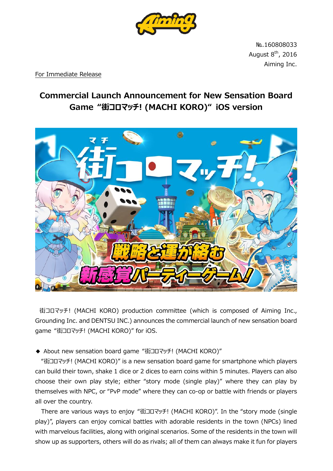

№.160808033 August  $8<sup>th</sup>$ , 2016 Aiming Inc.

For Immediate Release

## **Commercial Launch Announcement for New Sensation Board Game "街コロマッチ! (MACHI KORO)" iOS version**



街コロマッチ! (MACHI KORO) production committee (which is composed of Aiming Inc., Grounding Inc. and DENTSU INC.) announces the commercial launch of new sensation board game "街コロマッチ! (MACHI KORO)" for iOS.

◆ About new sensation board game "街コロマッチ! (MACHI KORO)"

"街コロマッチ! (MACHI KORO)" is a new sensation board game for smartphone which players can build their town, shake 1 dice or 2 dices to earn coins within 5 minutes. Players can also choose their own play style; either "story mode (single play)" where they can play by themselves with NPC, or "PvP mode" where they can co-op or battle with friends or players all over the country.

 There are various ways to enjoy "街コロマッチ! (MACHI KORO)". In the "story mode (single play)", players can enjoy comical battles with adorable residents in the town (NPCs) lined with marvelous facilities, along with original scenarios. Some of the residents in the town will show up as supporters, others will do as rivals; all of them can always make it fun for players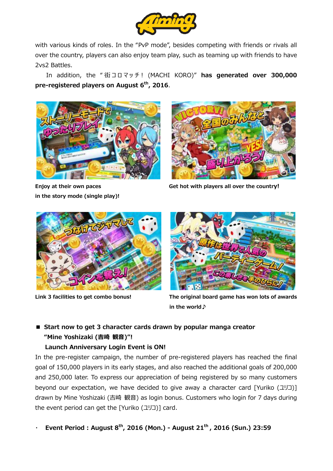

with various kinds of roles. In the "PvP mode", besides competing with friends or rivals all over the country, players can also enjoy team play, such as teaming up with friends to have 2vs2 Battles.

In addition, the "街コロマッチ! (MACHI KORO)" has generated over 300,000 **pre-registered players on August 6 th, 2016**.



**in the story mode (single play)!**



**Enjoy at their own paces Get hot with players all over the country!**





**Link 3 facilities to get combo bonus! The original board game has won lots of awards in the world♪**

## ■ **Start now to get 3 character cards drawn by popular manga creator "Mine Yoshizaki (吉崎 観音)"!**

### **Launch Anniversary Login Event is ON!**

In the pre-register campaign, the number of pre-registered players has reached the final goal of 150,000 players in its early stages, and also reached the additional goals of 200,000 and 250,000 later. To express our appreciation of being registered by so many customers beyond our expectation, we have decided to give away a character card [Yuriko (ユリコ)] drawn by Mine Yoshizaki (吉崎 観音) as login bonus. Customers who login for 7 days during the event period can get the [Yuriko (ユリコ)] card.

・ **Event Period : August 8th, 2016 (Mon.) - August 21 th , 2016 (Sun.) 23:59**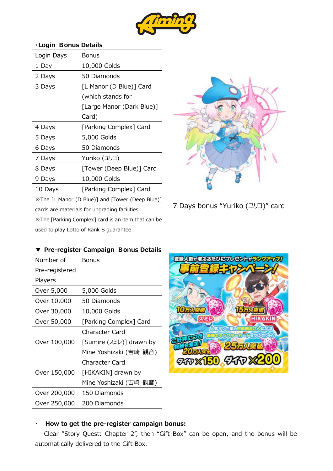

| Login Days | Bonus                     |  |  |
|------------|---------------------------|--|--|
| 1 Day      | 10,000 Golds              |  |  |
| 2 Days     | 50 Diamonds               |  |  |
| 3 Days     | [L Manor (D Blue)] Card   |  |  |
|            | (which stands for         |  |  |
|            | [Large Manor (Dark Blue)] |  |  |
|            | Card)                     |  |  |
| 4 Days     | [Parking Complex] Card    |  |  |
| 5 Days     | 5,000 Golds               |  |  |
| 6 Days     | 50 Diamonds               |  |  |
| 7 Days     | Yuriko (ユリコ)              |  |  |
| 8 Days     | [Tower (Deep Blue)] Card  |  |  |
| 9 Days     | 10,000 Golds              |  |  |
| 10 Days    | [Parking Complex] Card    |  |  |

#### **・Login Bonus Details**

※The [L Manor (D Blue)] and [Tower (Deep Blue)] cards are materials for upgrading facilities.

※The [Parking Complex] card is an item that can be used to play Lotto of Rank S guarantee.

**▼ Pre-register Campaign Bonus Details**



### 7 Days bonus "Yuriko (ユリコ)" card

| Number of      | <b>Bonus</b>            |  |
|----------------|-------------------------|--|
| Pre-registered |                         |  |
| Players        |                         |  |
| Over 5,000     | 5,000 Golds             |  |
| Over 10,000    | 50 Diamonds             |  |
| Over 30,000    | 10,000 Golds            |  |
| Over 50,000    | [Parking Complex] Card  |  |
|                | Character Card          |  |
| Over 100,000   | [Sumire (スミレ)] drawn by |  |
|                | Mine Yoshizaki (吉崎 観音)  |  |
|                | Character Card          |  |
| Over 150,000   | [HIKAKIN] drawn by      |  |
|                | Mine Yoshizaki (吉崎 観音)  |  |
| Over 200,000   | 150 Diamonds            |  |
| Over 250,000   | 200 Diamonds            |  |

# 登録人数が増えるたびにフレゼント **DEAVER**



### ・ **How to get the pre-register campaign bonus:**

Clear "Story Quest: Chapter 2", then "Gift Box" can be open, and the bonus will be automatically delivered to the Gift Box.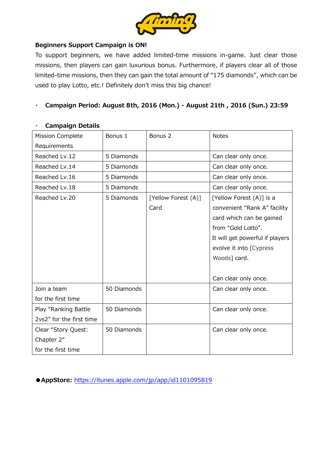

### **Beginners Support Campaign is ON!**

To support beginners, we have added limited-time missions in-game. Just clear those missions, then players can gain luxurious bonus. Furthermore, if players clear all of those limited-time missions, then they can gain the total amount of "175 diamonds", which can be used to play Lotto, etc.! Definitely don't miss this big chance!

### ・ **Campaign Period: August 8th, 2016 (Mon.) - August 21th , 2016 (Sun.) 23:59**

| <b>Mission Complete</b>  | Bonus 1     | Bonus <sub>2</sub>  | <b>Notes</b>                    |
|--------------------------|-------------|---------------------|---------------------------------|
| Requirements             |             |                     |                                 |
| Reached Lv.12            | 5 Diamonds  |                     | Can clear only once.            |
| Reached Lv.14            | 5 Diamonds  |                     | Can clear only once.            |
| Reached Lv.16            | 5 Diamonds  |                     | Can clear only once.            |
| Reached Lv.18            | 5 Diamonds  |                     | Can clear only once.            |
| Reached Lv.20            | 5 Diamonds  | [Yellow Forest (A)] | [Yellow Forest (A)] is a        |
|                          |             | Card                | convenient "Rank A" facility    |
|                          |             |                     | card which can be gained        |
|                          |             |                     | from "Gold Lotto".              |
|                          |             |                     | It will get powerful if players |
|                          |             |                     | evolve it into [Cypress         |
|                          |             |                     | Woods] card.                    |
|                          |             |                     |                                 |
|                          |             |                     | Can clear only once.            |
| Join a team              | 50 Diamonds |                     | Can clear only once.            |
| for the first time       |             |                     |                                 |
| Play "Ranking Battle     | 50 Diamonds |                     | Can clear only once.            |
| 2vs2" for the first time |             |                     |                                 |
| Clear "Story Quest:      | 50 Diamonds |                     | Can clear only once.            |
| Chapter 2"               |             |                     |                                 |
| for the first time       |             |                     |                                 |

### ・ **Campaign Details**

**●AppStore:** <https://itunes.apple.com/jp/app/id1101095819>